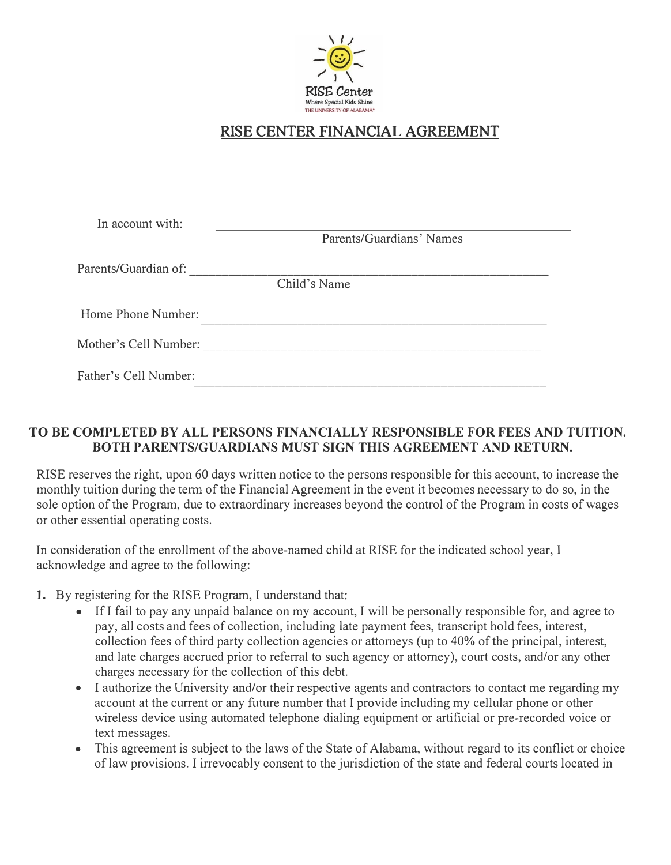

# RISE CENTER FINANCIA**L** AGREEMENT

| In account with:      |                          |
|-----------------------|--------------------------|
|                       | Parents/Guardians' Names |
| Parents/Guardian of:  |                          |
|                       | Child's Name             |
| Home Phone Number:    |                          |
| Mother's Cell Number: |                          |
| Father's Cell Number: |                          |

# **TO BE COMPLETED BY ALL PERSONS FINANCIALLY RESPONSIBLE FOR FEES AND TUITION. BOTH PARENTS/GUARDIANS MUST SIGN THIS AGREEMENT AND RETURN.**

RISE reserves the right, upon 60 days written notice to the persons responsible for this account, to increase the monthly tuition during the term of the Financial Agreement in the event it becomes necessary to do so, in the sole option of the Program, due to extraordinary increases beyond the control of the Program in costs of wages or other essential operating costs.

In consideration of the enrollment of the above-named child at RISE for the indicated school year, I acknowledge and agree to the following:

- **1.** By registering for the RISE Program, I understand that:
	- If I fail to pay any unpaid balance on my account, I will be personally responsible for, and agree to pay, all costs and fees of collection, including late payment fees, transcript hold fees, interest, collection fees of third party collection agencies or attorneys (up to 40% of the principal, interest, and late charges accrued prior to referral to such agency or attorney), court costs, and/or any other charges necessary for the collection of this debt.
	- I authorize the University and/or their respective agents and contractors to contact me regarding my account at the current or any future number that I provide including my cellular phone or other wireless device using automated telephone dialing equipment or artificial or pre-recorded voice or text messages.
	- This agreement is subject to the laws of the State of Alabama, without regard to its conflict or choice of law provisions. I irrevocably consent to the jurisdiction of the state and federal courts located in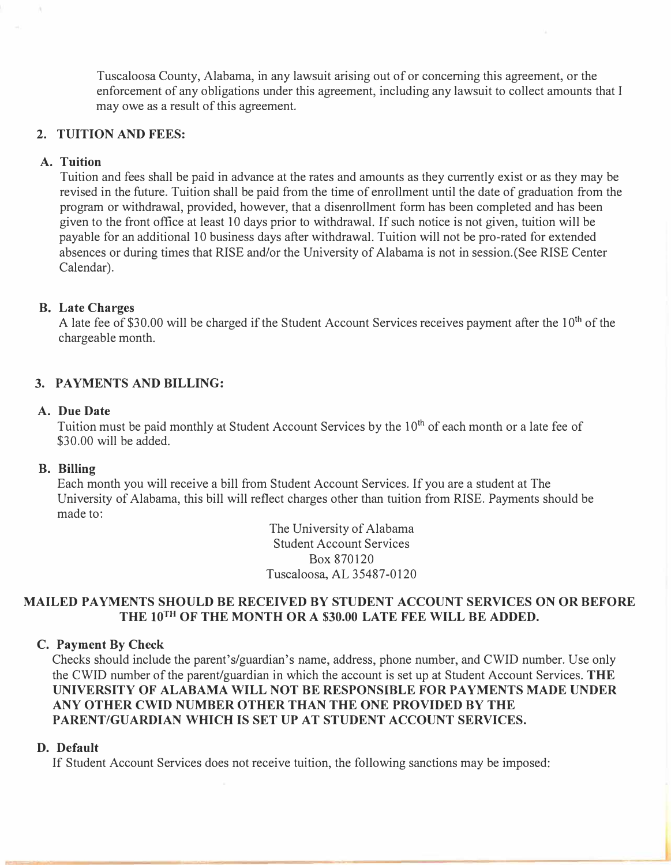Tuscaloosa County, Alabama, in any lawsuit arising out of or concerning this agreement, or the enforcement of any obligations under this agreement, including any lawsuit to collect amounts that I may owe as a result of this agreement.

## **2. TUITION AND FEES:**

# **A. Tuition**

Tuition and fees shall be paid in advance at the rates and amounts as they currently exist or as they may be revised in the future. Tuition shall be paid from the time of enrollment until the date of graduation from the program or withdrawal, provided, however, that a disenrollment form has been completed and has been given to the front office at least 10 days prior to withdrawal. If such notice is not given, tuition will be payable for an additional 10 business days after withdrawal. Tuition will not be pro-rated for extended absences or during times that RISE and/or the University of Alabama is not in session.(See RISE Center Calendar).

## **B. Late Charges**

A late fee of \$30.00 will be charged if the Student Account Services receives payment after the  $10<sup>th</sup>$  of the chargeable month.

# **3. PAYMENTS AND BILLING:**

## **A. DueDate**

Tuition must be paid monthly at Student Account Services by the 10<sup>th</sup> of each month or a late fee of \$30.00 will be added.

## **B. Billing**

Each month you will receive a bill from Student Account Services. If you are a student at The University of Alabama, this bill will reflect charges other than tuition from RISE. Payments should be made to:

> The University of Alabama Student Account Services Box 870120 Tuscaloosa, AL 35487-0120

## **MAILED PAYMENTS SHOULD BE RECEIVED BY STUDENT ACCOUNT SERVICES ON OR BEFORE THE 10™ OF THE MONTH OR A \$30.00 LATE FEE WILL BE ADDED.**

## **C. Payment By Check**

Checks should include the parent's/guardian's name, address, phone number, and CWID number. Use only the CWID number of the parent/guardian in which the account is set up at Student Account Services. **THE UNIVERSITY OF ALABAMA WILL NOT BE RESPONSIBLE FOR PAYMENTS MADE UNDER ANY OTHER CWID NUMBER OTHER THAN THE ONE PROVIDED BY THE PARENT/GUARDIAN WHICH IS SET UP AT STUDENT ACCOUNT SERVICES.**

## **D. Default**

If Student Account Services does not receive tuition, the following sanctions may be imposed: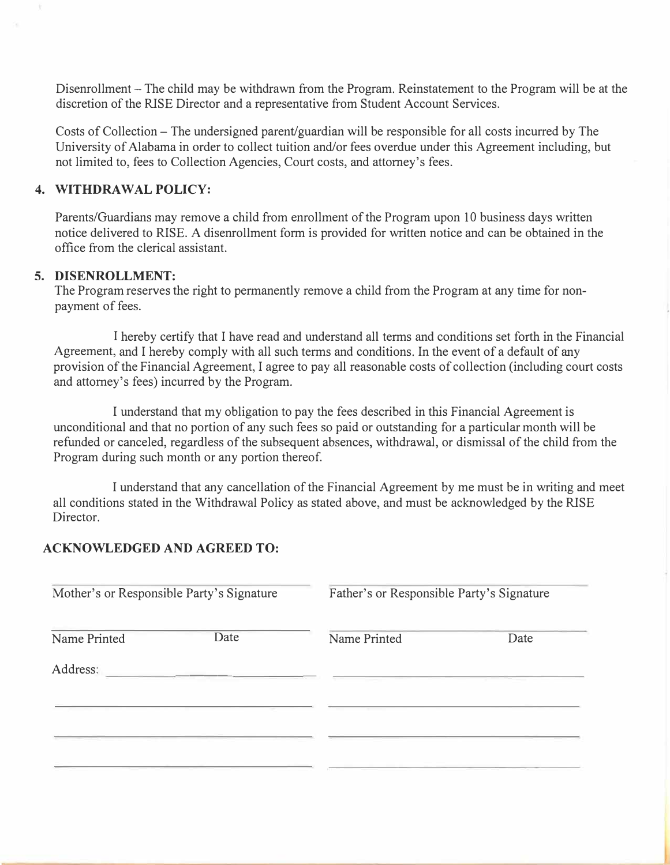Disenrollment - The child may be withdrawn from the Program. Reinstatement to the Program will be at the discretion of the RISE Director and a representative from Student Account Services.

Costs of Collection - The undersigned parent/guardian will be responsible for all costs incurred by The University of Alabama in order to collect tuition and/or fees overdue under this Agreement including, but not limited to, fees to Collection Agencies, Court costs, and attorney's fees.

## **4. WITHDRAWAL POLICY:**

Parents/Guardians may remove a child from enrollment of the Program upon 10 business days written notice delivered to RISE. A disenrollment form is provided for written notice and can be obtained in the office from the clerical assistant.

## **5. DISENROLLMENT:**

The Program reserves the right to permanently remove a child from the Program at any time for nonpayment of fees.

I hereby certify that I have read and understand all terms and conditions set forth in the Financial Agreement, and I hereby comply with all such terms and conditions. In the event of a default of any provision of the Financial Agreement, I agree to pay all reasonable costs of collection (including court costs and attorney's fees) incurred by the Program.

I understand that my obligation to pay the fees described in this Financial Agreement is unconditional and that no portion of any such fees so paid or outstanding for a particular month will be refunded or canceled, regardless of the subsequent absences, withdrawal, or dismissal of the child from the Program during such month or any portion thereof.

I understand that any cancellation of the Financial Agreement by me must be in writing and meet all conditions stated in the Withdrawal Policy as stated above, and must be acknowledged by the RISE Director.

## **ACKNOWLEDGED AND AGREED TO:**

| Mother's or Responsible Party's Signature |      | Father's or Responsible Party's Signature |      |
|-------------------------------------------|------|-------------------------------------------|------|
| Name Printed                              | Date | Name Printed                              | Date |
| Address:                                  |      |                                           |      |
|                                           |      |                                           |      |
|                                           |      |                                           |      |